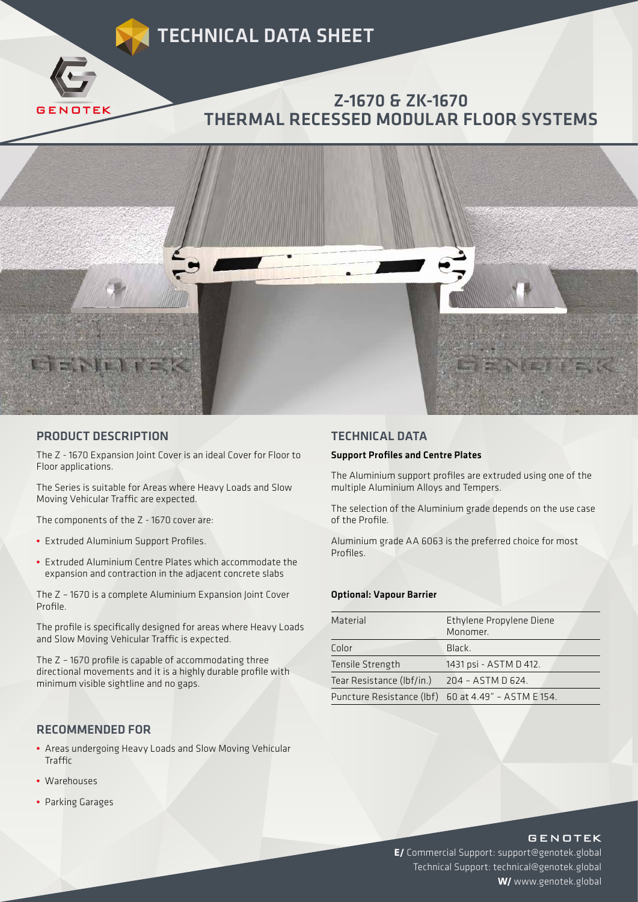

## PRODUCT DESCRIPTION

The Z - 1670 Expansion Joint Cover is an ideal Cover for Floor to Floor applications.

The Series is suitable for Areas where Heavy Loads and Slow Moving Vehicular Traffic are expected.

The components of the Z - 1670 cover are:

- **•** Extruded Aluminium Support Profiles.
- **•** Extruded Aluminium Centre Plates which accommodate the expansion and contraction in the adjacent concrete slabs

The Z – 1670 is a complete Aluminium Expansion Joint Cover Profile.

The profile is specifically designed for areas where Heavy Loads and Slow Moving Vehicular Traffic is expected.

The Z – 1670 profile is capable of accommodating three directional movements and it is a highly durable profile with minimum visible sightline and no gaps.

#### RECOMMENDED FOR

- **•** Areas undergoing Heavy Loads and Slow Moving Vehicular Traffic
- **•** Warehouses
- **•** Parking Garages

## TECHNICAL DATA

#### Support Profiles and Centre Plates

The Aluminium support profiles are extruded using one of the multiple Aluminium Alloys and Tempers.

The selection of the Aluminium grade depends on the use case of the Profile.

Aluminium grade AA 6063 is the preferred choice for most Profiles.

#### Optional: Vapour Barrier

| Material                  | Ethylene Propylene Diene<br>Monomer.                |
|---------------------------|-----------------------------------------------------|
| Color                     | Black.                                              |
| Tensile Strength          | 1431 psi - ASTM D 412.                              |
| Tear Resistance (Ibf/in.) | 204 - ASTM D 624.                                   |
|                           | Puncture Resistance (lbf) 60 at 4.49" - ASTM E 154. |

## **GENOTEK**

**E/** Commercial Support: support@genotek.global Technical Support: technical@genotek.global **W/** www.genotek.global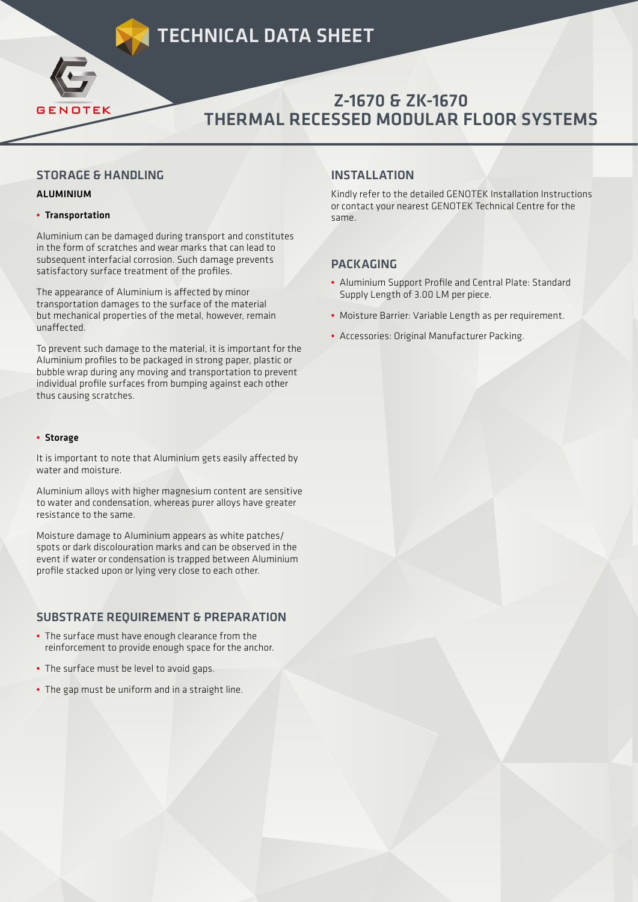# TECHNICAL DATA SHEET



### STORAGE & HANDLING

#### ALUMINIUM

#### **•** Transportation

**GENOTEK** 

Aluminium can be damaged during transport and constitutes in the form of scratches and wear marks that can lead to subsequent interfacial corrosion. Such damage prevents satisfactory surface treatment of the profiles.

The appearance of Aluminium is affected by minor transportation damages to the surface of the material but mechanical properties of the metal, however, remain unaffected.

To prevent such damage to the material, it is important for the Aluminium profiles to be packaged in strong paper, plastic or bubble wrap during any moving and transportation to prevent individual profile surfaces from bumping against each other thus causing scratches.

#### **•** Storage

It is important to note that Aluminium gets easily affected by water and moisture.

Aluminium alloys with higher magnesium content are sensitive to water and condensation, whereas purer alloys have greater resistance to the same.

Moisture damage to Aluminium appears as white patches/ spots or dark discolouration marks and can be observed in the event if water or condensation is trapped between Aluminium profile stacked upon or lying very close to each other.

## SUBSTRATE REQUIREMENT & PREPARATION

- **•** The surface must have enough clearance from the reinforcement to provide enough space for the anchor.
- **•** The surface must be level to avoid gaps.
- **•** The gap must be uniform and in a straight line.

# INSTALLATION

Kindly refer to the detailed GENOTEK Installation Instructions or contact your nearest GENOTEK Technical Centre for the same.

# PACKAGING

- **•** Aluminium Support Profile and Central Plate: Standard Supply Length of 3.00 LM per piece.
- **•** Moisture Barrier: Variable Length as per requirement.
- **•** Accessories: Original Manufacturer Packing.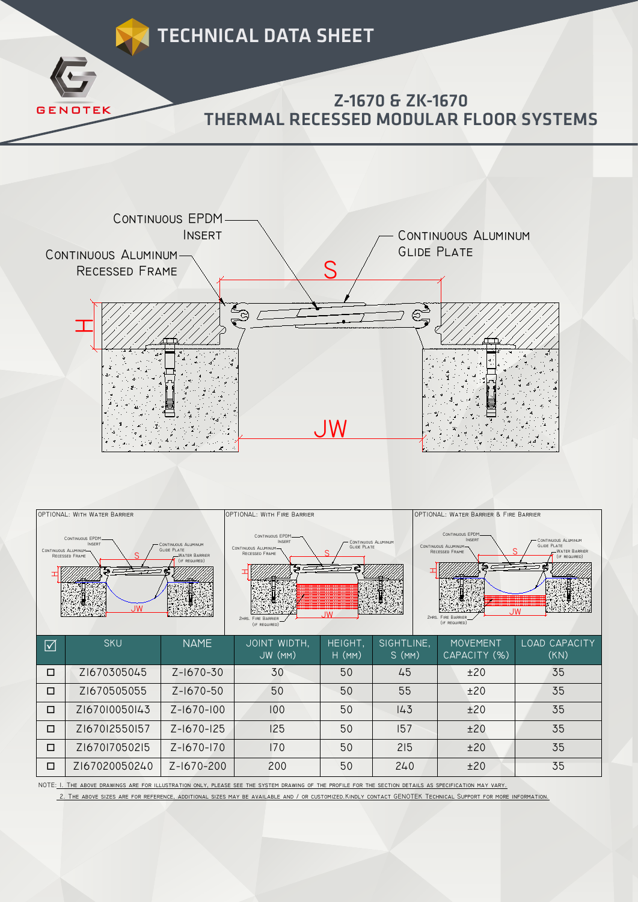



 $\odot$ 

ව /

 $\mathbf{\mathbf{\Pi}}$ 

| <b>CONTINUOUS EPDM</b><br><b>INSERT</b><br>CONTINUOUS ALUMINUM<br><b>GLIDE PLATE</b><br>CONTINUOUS ALUMINUM-<br><b>WATER BARRIER</b><br>RECESSED FRAME<br>(IF REQUIRED)<br>. IW |               |                 | CONTINUOUS EPDM-<br><b>INSERT</b><br><b>CONTINUOUS ALUMINUM</b><br><b>GLIDE PLATE</b><br>CONTINUOUS ALUMINUM-<br>RECESSED FRAME<br>ළු<br>JW<br><b>2HRS. FIRE BARRIER</b><br>(IF REQUIRED) |                     |                     | CONTINUOUS EPDM-<br><b>INSERT</b><br>CONTINUOUS ALUMINUM<br><b>GLIDE PLATE</b><br>CONTINUOUS ALUMINUM-<br>-WATER BARRIER<br>RECESSED FRAME<br>(IF REQUIRED)<br>. IW<br><b>2HRS. FIRE BARRIER</b><br>(IF REQUIRED) |                       |  |
|---------------------------------------------------------------------------------------------------------------------------------------------------------------------------------|---------------|-----------------|-------------------------------------------------------------------------------------------------------------------------------------------------------------------------------------------|---------------------|---------------------|-------------------------------------------------------------------------------------------------------------------------------------------------------------------------------------------------------------------|-----------------------|--|
| $\boxed{\checkmark}$                                                                                                                                                            | <b>SKU</b>    | <b>NAME</b>     | JOINT WIDTH,<br>JW (MM)                                                                                                                                                                   | HEIGHT,<br>$H$ (MM) | SIGHTLINE,<br>S(MM) | <b>MOVEMENT</b><br>CAPACITY (%)                                                                                                                                                                                   | LOAD CAPACITY<br>(KN) |  |
| □                                                                                                                                                                               | Z1670305045   | $Z - 1670 - 30$ | 30                                                                                                                                                                                        | 50                  | 45                  | ±20                                                                                                                                                                                                               | 35                    |  |
| □                                                                                                                                                                               | Z1670505055   | Z-1670-50       | 50                                                                                                                                                                                        | 50                  | 55                  | ±20                                                                                                                                                                                                               | 35                    |  |
| □                                                                                                                                                                               | Z167010050143 | Z-1670-100      | 100                                                                                                                                                                                       | 50                  | 143                 | ±20                                                                                                                                                                                                               | 35                    |  |
| □                                                                                                                                                                               | Z167012550157 | Z-1670-125      | 125                                                                                                                                                                                       | 50                  | 157                 | ±20                                                                                                                                                                                                               | 35                    |  |
| □                                                                                                                                                                               | Z167017050215 | Z-1670-170      | 170                                                                                                                                                                                       | 50                  | 215                 | ±20                                                                                                                                                                                                               | 35                    |  |
| □                                                                                                                                                                               | Z167020050240 | Z-1670-200      | 200                                                                                                                                                                                       | 50                  | 240                 | ±20                                                                                                                                                                                                               | 35                    |  |

NOTE: 1. The above drawings are for illustration only, please see the system drawing of the profile for the section details as specification may vary.

2. The above sizes are for reference, additional sizes may be available and / or customized.Kindly contact GENOTEK Technical Support for more information.